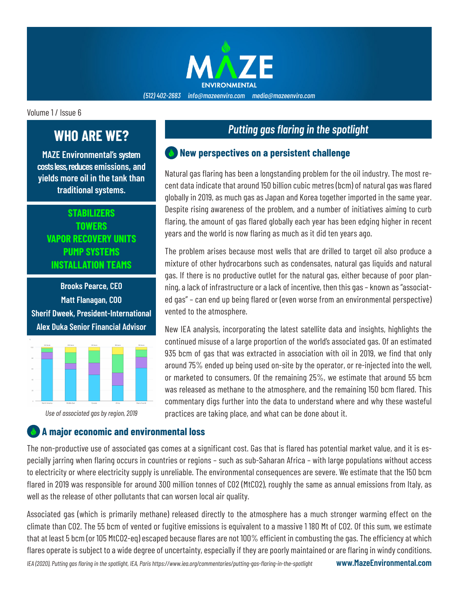

#### *(512) 402-2683 info@mazeenviro.com media@mazeenviro.com*

Volume 1 / Issue 6

# **WHO ARE WE?**

**MAZE Environmental's system costs less, reduces emissions, and yields more oil in the tank than traditional systems.**

### **STABILIZERS TOWERS VAPOR RECOVERY UNITS PUMP SYSTEMS INSTALLATION TEAMS**

**Brooks Pearce, CEO Matt Flanagan, COO Sherif Dweek, President-International Alex Duka Senior Financial Advisor**



*Use of associated gas by region, 2019*

# *Putting gas flaring in the spotlight*

#### **New perspectives on a persistent challenge**

Natural gas flaring has been a longstanding problem for the oil industry. The most recent data indicate that around 150 billion cubic metres (bcm) of natural gas was flared globally in 2019, as much gas as Japan and Korea together imported in the same year. Despite rising awareness of the problem, and a number of initiatives aiming to curb flaring, the amount of gas flared globally each year has been edging higher in recent years and the world is now flaring as much as it did ten years ago.

The problem arises because most wells that are drilled to target oil also produce a mixture of other hydrocarbons such as condensates, natural gas liquids and natural gas. If there is no productive outlet for the natural gas, either because of poor planning, a lack of infrastructure or a lack of incentive, then this gas – known as "associated gas" – can end up being flared or (even worse from an environmental perspective) vented to the atmosphere.

New IEA analysis, incorporating the latest satellite data and insights, highlights the continued misuse of a large proportion of the world's associated gas. Of an estimated 935 bcm of gas that was extracted in association with oil in 2019, we find that only around 75% ended up being used on-site by the operator, or re-injected into the well, or marketed to consumers. Of the remaining 25%, we estimate that around 55 bcm was released as methane to the atmosphere, and the remaining 150 bcm flared. This commentary digs further into the data to understand where and why these wasteful practices are taking place, and what can be done about it.

#### **A major economic and environmental loss**

The non-productive use of associated gas comes at a significant cost. Gas that is flared has potential market value, and it is especially jarring when flaring occurs in countries or regions – such as sub-Saharan Africa – with large populations without access to electricity or where electricity supply is unreliable. The environmental consequences are severe. We estimate that the 150 bcm flared in 2019 was responsible for around 300 million tonnes of CO2 (MtCO2), roughly the same as annual emissions from Italy, as well as the release of other pollutants that can worsen local air quality.

Associated gas (which is primarily methane) released directly to the atmosphere has a much stronger warming effect on the climate than CO2. The 55 bcm of vented or fugitive emissions is equivalent to a massive 1 180 Mt of CO2. Of this sum, we estimate that at least 5 bcm (or 105 MtCO2-eq) escaped because flares are not 100% efficient in combusting the gas. The efficiency at which flares operate is subject to a wide degree of uncertainty, especially if they are poorly maintained or are flaring in windy conditions.

**www.MazeEnvironmental.com**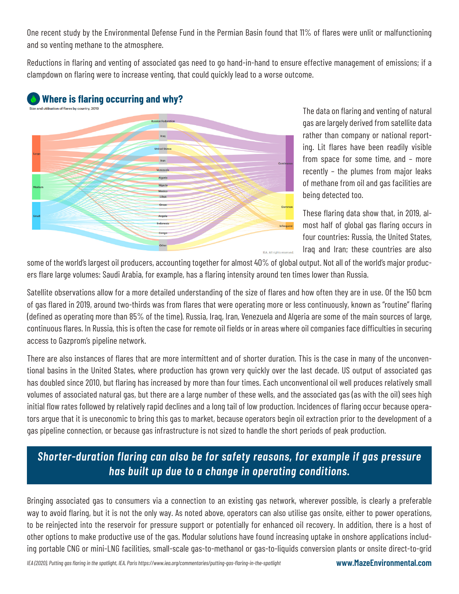One recent study by the Environmental Defense Fund in the Permian Basin found that 11% of flares were unlit or malfunctioning and so venting methane to the atmosphere.

Reductions in flaring and venting of associated gas need to go hand-in-hand to ensure effective management of emissions; if a clampdown on flaring were to increase venting, that could quickly lead to a worse outcome.



The data on flaring and venting of natural gas are largely derived from satellite data rather than company or national reporting. Lit flares have been readily visible from space for some time, and – more recently – the plumes from major leaks of methane from oil and gas facilities are being detected too.

These flaring data show that, in 2019, almost half of global gas flaring occurs in four countries: Russia, the United States, Iraq and Iran; these countries are also

some of the world's largest oil producers, accounting together for almost 40% of global output. Not all of the world's major producers flare large volumes: Saudi Arabia, for example, has a flaring intensity around ten times lower than Russia.

Satellite observations allow for a more detailed understanding of the size of flares and how often they are in use. Of the 150 bcm of gas flared in 2019, around two-thirds was from flares that were operating more or less continuously, known as "routine" flaring (defined as operating more than 85% of the time). Russia, Iraq, Iran, Venezuela and Algeria are some of the main sources of large, continuous flares. In Russia, this is often the case for remote oil fields or in areas where oil companies face difficulties in securing access to Gazprom's pipeline network.

There are also instances of flares that are more intermittent and of shorter duration. This is the case in many of the unconventional basins in the United States, where production has grown very quickly over the last decade. US output of associated gas has doubled since 2010, but flaring has increased by more than four times. Each unconventional oil well produces relatively small volumes of associated natural gas, but there are a large number of these wells, and the associated gas (as with the oil) sees high initial flow rates followed by relatively rapid declines and a long tail of low production. Incidences of flaring occur because operators argue that it is uneconomic to bring this gas to market, because operators begin oil extraction prior to the development of a gas pipeline connection, or because gas infrastructure is not sized to handle the short periods of peak production.

## *Shorter-duration flaring can also be for safety reasons, for example if gas pressure has built up due to a change in operating conditions.*

Bringing associated gas to consumers via a connection to an existing gas network, wherever possible, is clearly a preferable way to avoid flaring, but it is not the only way. As noted above, operators can also utilise gas onsite, either to power operations, to be reinjected into the reservoir for pressure support or potentially for enhanced oil recovery. In addition, there is a host of other options to make productive use of the gas. Modular solutions have found increasing uptake in onshore applications including portable CNG or mini-LNG facilities, small-scale gas-to-methanol or gas-to-liquids conversion plants or onsite direct-to-grid